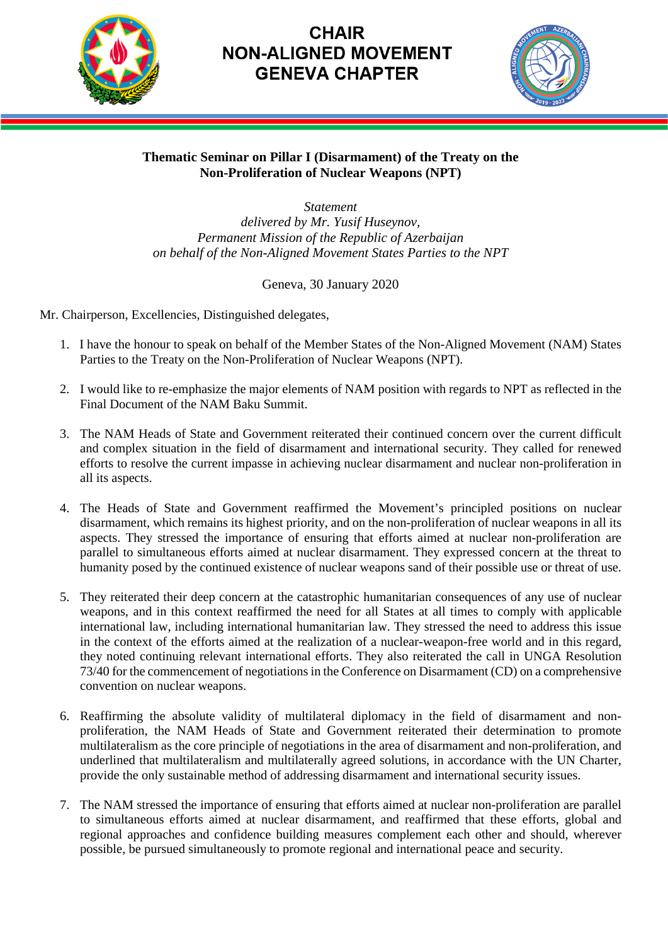

## **CHAIR NON-ALIGNED MOVEMENT GENEVA CHAPTER**



## **Thematic Seminar on Pillar I (Disarmament) of the Treaty on the Non-Proliferation of Nuclear Weapons (NPT)**

*Statement delivered by Mr. Yusif Huseynov, Permanent Mission of the Republic of Azerbaijan on behalf of the Non-Aligned Movement States Parties to the NPT*

Geneva, 30 January 2020

Mr. Chairperson, Excellencies, Distinguished delegates,

- 1. I have the honour to speak on behalf of the Member States of the Non-Aligned Movement (NAM) States Parties to the Treaty on the Non-Proliferation of Nuclear Weapons (NPT).
- 2. I would like to re-emphasize the major elements of NAM position with regards to NPT as reflected in the Final Document of the NAM Baku Summit.
- 3. The NAM Heads of State and Government reiterated their continued concern over the current difficult and complex situation in the field of disarmament and international security. They called for renewed efforts to resolve the current impasse in achieving nuclear disarmament and nuclear non-proliferation in all its aspects.
- 4. The Heads of State and Government reaffirmed the Movement's principled positions on nuclear disarmament, which remains its highest priority, and on the non-proliferation of nuclear weapons in all its aspects. They stressed the importance of ensuring that efforts aimed at nuclear non-proliferation are parallel to simultaneous efforts aimed at nuclear disarmament. They expressed concern at the threat to humanity posed by the continued existence of nuclear weapons sand of their possible use or threat of use.
- 5. They reiterated their deep concern at the catastrophic humanitarian consequences of any use of nuclear weapons, and in this context reaffirmed the need for all States at all times to comply with applicable international law, including international humanitarian law. They stressed the need to address this issue in the context of the efforts aimed at the realization of a nuclear-weapon-free world and in this regard, they noted continuing relevant international efforts. They also reiterated the call in UNGA Resolution 73/40 for the commencement of negotiations in the Conference on Disarmament (CD) on a comprehensive convention on nuclear weapons.
- 6. Reaffirming the absolute validity of multilateral diplomacy in the field of disarmament and nonproliferation, the NAM Heads of State and Government reiterated their determination to promote multilateralism as the core principle of negotiations in the area of disarmament and non-proliferation, and underlined that multilateralism and multilaterally agreed solutions, in accordance with the UN Charter, provide the only sustainable method of addressing disarmament and international security issues.
- 7. The NAM stressed the importance of ensuring that efforts aimed at nuclear non-proliferation are parallel to simultaneous efforts aimed at nuclear disarmament, and reaffirmed that these efforts, global and regional approaches and confidence building measures complement each other and should, wherever possible, be pursued simultaneously to promote regional and international peace and security.